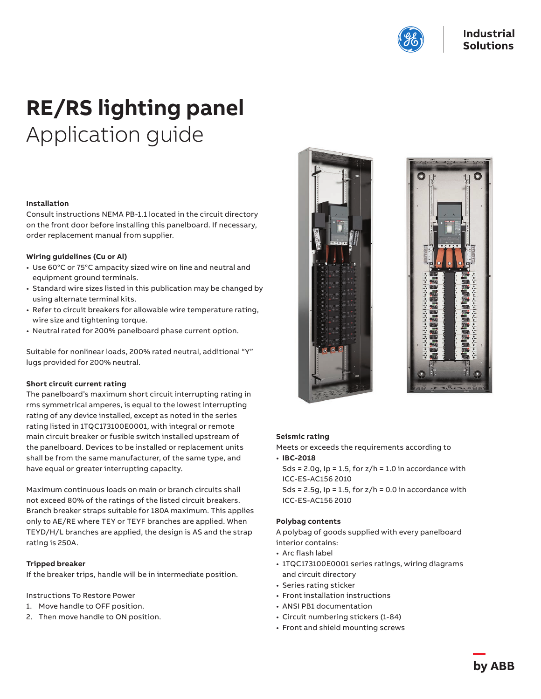

# **RE/RS lighting panel** Application guide

#### **Installation**

Consult instructions NEMA PB-1.1 located in the circuit directory on the front door before installing this panelboard. If necessary, order replacement manual from supplier.

#### **Wiring guidelines (Cu or Al)**

- Use 60°C or 75°C ampacity sized wire on line and neutral and equipment ground terminals.
- Standard wire sizes listed in this publication may be changed by using alternate terminal kits.
- Refer to circuit breakers for allowable wire temperature rating, wire size and tightening torque.
- Neutral rated for 200% panelboard phase current option.

Suitable for nonlinear loads, 200% rated neutral, additional "Y" lugs provided for 200% neutral.

#### **Short circuit current rating**

The panelboard's maximum short circuit interrupting rating in rms symmetrical amperes, is equal to the lowest interrupting rating of any device installed, except as noted in the series rating listed in 1TQC173100E0001, with integral or remote main circuit breaker or fusible switch installed upstream of the panelboard. Devices to be installed or replacement units shall be from the same manufacturer, of the same type, and have equal or greater interrupting capacity.

Maximum continuous loads on main or branch circuits shall not exceed 80% of the ratings of the listed circuit breakers. Branch breaker straps suitable for 180A maximum. This applies only to AE/RE where TEY or TEYF branches are applied. When TEYD/H/L branches are applied, the design is AS and the strap rating is 250A.

#### **Tripped breaker**

If the breaker trips, handle will be in intermediate position.

Instructions To Restore Power

- 1. Move handle to OFF position.
- 2. Then move handle to ON position.





#### **Seismic rating**

Meets or exceeds the requirements according to

- **IBC-2018**
- Sds = 2.0g,  $lp = 1.5$ , for  $z/h = 1.0$  in accordance with ICC-ES-AC156 2010
- Sds = 2.5g,  $lp = 1.5$ , for  $z/h = 0.0$  in accordance with ICC-ES-AC156 2010

#### **Polybag contents**

A polybag of goods supplied with every panelboard interior contains:

- Arc flash label
- 1TQC173100E0001 series ratings, wiring diagrams and circuit directory
- Series rating sticker
- Front installation instructions
- ANSI PB1 documentation
- Circuit numbering stickers (1-84)
- Front and shield mounting screws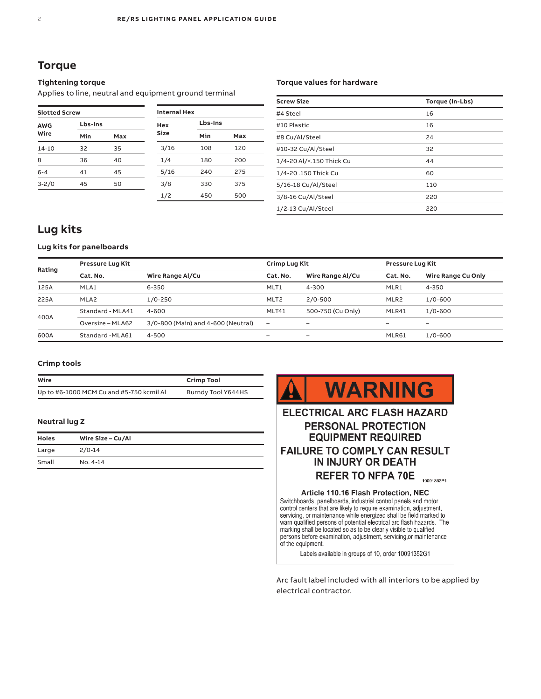### **Torque**

#### **Tightening torque**

Applies to line, neutral and equipment ground terminal

| <b>Slotted Screw</b> |         |     |  |  |  |
|----------------------|---------|-----|--|--|--|
| <b>AWG</b>           | Lbs-Ins |     |  |  |  |
| Wire                 | Min     | Max |  |  |  |
| 14-10                | 32      | 35  |  |  |  |
| 8                    | 36      | 40  |  |  |  |
| $6 - 4$              | 41      | 45  |  |  |  |
| $3 - 2/0$            | 45      | 50  |  |  |  |

| <b>Internal Hex</b> |         |     |
|---------------------|---------|-----|
| Hex                 | Lbs-Ins |     |
| Size                | Min     | Max |
| 3/16                | 108     | 120 |
| 1/4                 | 180     | 200 |
| 5/16                | 240     | 275 |
| 3/8                 | 330     | 375 |
| 1/2                 | 450     | 500 |

#### **Torque values for hardware**

| <b>Screw Size</b>        | Torque (In-Lbs) |
|--------------------------|-----------------|
| #4 Steel                 | 16              |
| #10 Plastic              | 16              |
| #8 Cu/Al/Steel           | 24              |
| #10-32 Cu/Al/Steel       | 32              |
| 1/4-20 Al/<.150 Thick Cu | 44              |
| 1/4-20.150 Thick Cu      | 60              |
| 5/16-18 Cu/Al/Steel      | 110             |
| 3/8-16 Cu/Al/Steel       | 220             |
| 1/2-13 Cu/Al/Steel       | 220             |

### **Lug kits**

#### **Lug kits for panelboards**

| Rating | <b>Pressure Lug Kit</b> |                                    | Crimp Lug Kit    |                   |                  | <b>Pressure Lug Kit</b> |  |  |
|--------|-------------------------|------------------------------------|------------------|-------------------|------------------|-------------------------|--|--|
|        | Cat. No.                | Wire Range Al/Cu                   | Cat. No.         | Wire Range Al/Cu  | Cat. No.         | Wire Range Cu Only      |  |  |
| 125A   | MLA1                    | 6-350                              | MLT <sub>1</sub> | 4-300             | MLR1             | 4-350                   |  |  |
| 225A   | MLA2                    | $1/0 - 250$                        | MLT <sub>2</sub> | $2/0 - 500$       | MLR <sub>2</sub> | $1/0 - 600$             |  |  |
|        | Standard - MLA41        | $4 - 600$                          | MLT41            | 500-750 (Cu Only) | MLR41            | $1/0 - 600$             |  |  |
| 400A   | Oversize - MLA62        | 3/0-800 (Main) and 4-600 (Neutral) | -                | -                 | -                | -                       |  |  |
| 600A   | Standard - MLA61        | 4-500                              | -                | -                 | MLR61            | $1/0 - 600$             |  |  |

#### **Crimp tools**

| Wire                                     | <b>Crimp Tool</b>  |
|------------------------------------------|--------------------|
| Up to #6-1000 MCM Cu and #5-750 kcmil Al | Burndy Tool Y644HS |

#### **Neutral lug Z**

| Holes | Wire Size - Cu/Al |
|-------|-------------------|
| Large | $2/0 - 14$        |
| Small | $No. 4-14$        |



control centers that are likely to require examination, adjustment, servicing, or maintenance while energized shall be field marked to warn qualified persons of potential electrical arc flash hazards. The marking shall be located so as to be clearly visible to qualified persons before examination, adjustment, servicing, or maintenance of the equipment.

Labels available in groups of 10, order 10091352G1

Arc fault label included with all interiors to be applied by electrical contractor.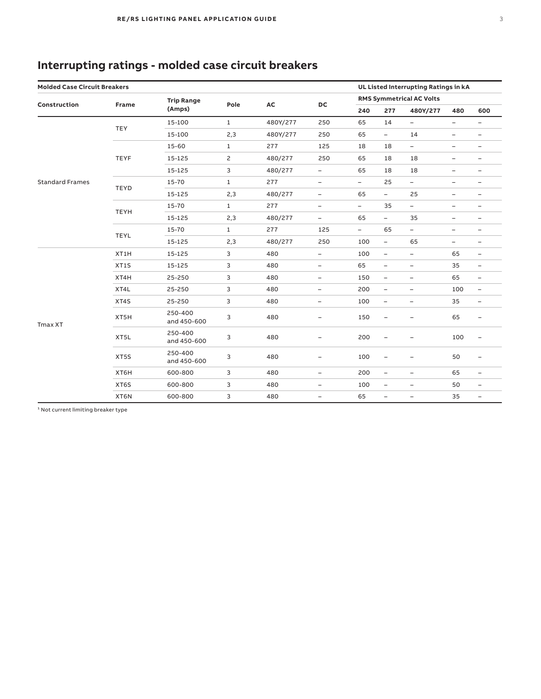## **Interrupting ratings - molded case circuit breakers**

| <b>Molded Case Circuit Breakers</b><br>UL Listed Interrupting Ratings in kA |             |                        |              |          |                          |                          |                                 |                          |                          |                          |
|-----------------------------------------------------------------------------|-------------|------------------------|--------------|----------|--------------------------|--------------------------|---------------------------------|--------------------------|--------------------------|--------------------------|
|                                                                             |             | <b>Trip Range</b>      |              |          |                          |                          | <b>RMS Symmetrical AC Volts</b> |                          |                          |                          |
| Construction                                                                | Frame       | (Amps)                 | Pole         | AC       | DC                       | 240                      | 277                             | 480Y/277                 | 480                      | 600                      |
|                                                                             | <b>TEY</b>  | 15-100                 | $\mathbf{1}$ | 480Y/277 | 250                      | 65                       | 14                              | $\overline{\phantom{0}}$ | $\overline{\phantom{a}}$ | $\overline{\phantom{0}}$ |
|                                                                             |             | 15-100                 | 2,3          | 480Y/277 | 250                      | 65                       | -                               | 14                       | $\overline{\phantom{a}}$ | -                        |
|                                                                             |             | 15-60                  | $\mathbf{1}$ | 277      | 125                      | 18                       | 18                              | $\equiv$                 | -                        | -                        |
|                                                                             | <b>TEYF</b> | 15-125                 | 2            | 480/277  | 250                      | 65                       | 18                              | 18                       | $\qquad \qquad -$        | -                        |
|                                                                             |             | 15-125                 | 3            | 480/277  | $\overline{\phantom{a}}$ | 65                       | 18                              | 18                       | $\overline{\phantom{m}}$ | -                        |
| <b>Standard Frames</b>                                                      |             | 15-70                  | $\mathbf{1}$ | 277      | $\qquad \qquad -$        | $\overline{\phantom{0}}$ | 25                              | $\overline{\phantom{0}}$ | $\overline{a}$           | -                        |
|                                                                             | <b>TEYD</b> | 15-125                 | 2,3          | 480/277  | $\overline{\phantom{a}}$ | 65                       | $\overline{\phantom{a}}$        | 25                       | $\qquad \qquad -$        | -                        |
|                                                                             |             | 15-70                  | $\mathbf{1}$ | 277      | $\overline{\phantom{a}}$ | $\blacksquare$           | 35                              | $\qquad \qquad -$        | $\qquad \qquad -$        | -                        |
|                                                                             | <b>TEYH</b> | 15-125                 | 2,3          | 480/277  | $\overline{\phantom{a}}$ | 65                       | $\overline{\phantom{0}}$        | 35                       | $\qquad \qquad -$        | -                        |
|                                                                             |             | 15-70                  | $\mathbf{1}$ | 277      | 125                      | $\overline{\phantom{0}}$ | 65                              | $\qquad \qquad -$        | -                        | -                        |
|                                                                             | <b>TEYL</b> | 15-125                 | 2,3          | 480/277  | 250                      | 100                      | $\overline{\phantom{a}}$        | 65                       | $\overline{\phantom{0}}$ | -                        |
|                                                                             | XT1H        | 15-125                 | 3            | 480      | $\qquad \qquad -$        | 100                      | $\blacksquare$                  | $\qquad \qquad -$        | 65                       | -                        |
|                                                                             | XT1S        | 15-125                 | 3            | 480      | $\overline{\phantom{a}}$ | 65                       | $\qquad \qquad -$               | $\overline{\phantom{a}}$ | 35                       | -                        |
|                                                                             | XT4H        | 25-250                 | 3            | 480      | $\qquad \qquad -$        | 150                      | $\overline{\phantom{a}}$        | $\qquad \qquad -$        | 65                       | -                        |
|                                                                             | XT4L        | 25-250                 | 3            | 480      | $\overline{\phantom{a}}$ | 200                      | $\overline{\phantom{a}}$        | $\overline{\phantom{a}}$ | 100                      | $\overline{\phantom{a}}$ |
|                                                                             | XT4S        | 25-250                 | 3            | 480      | -                        | 100                      | $\equiv$                        | $\qquad \qquad -$        | 35                       | -                        |
| Tmax XT                                                                     | XT5H        | 250-400<br>and 450-600 | 3            | 480      | $\overline{\phantom{0}}$ | 150                      | $\qquad \qquad -$               | $\overline{\phantom{a}}$ | 65                       | ÷,                       |
|                                                                             | XT5L        | 250-400<br>and 450-600 | 3            | 480      | $\qquad \qquad -$        | 200                      | $\qquad \qquad -$               | $\overline{\phantom{0}}$ | 100                      | -                        |
|                                                                             | XT5S        | 250-400<br>and 450-600 | 3            | 480      | -                        | 100                      | -                               | -                        | 50                       | -                        |
|                                                                             | XT6H        | 600-800                | 3            | 480      | $\overline{\phantom{a}}$ | 200                      | $\qquad \qquad -$               | $\overline{\phantom{a}}$ | 65                       | $\overline{\phantom{0}}$ |
|                                                                             | XT6S        | 600-800                | 3            | 480      | $\qquad \qquad -$        | 100                      | $\overline{\phantom{a}}$        | $\overline{\phantom{a}}$ | 50                       | -                        |
|                                                                             | XT6N        | 600-800                | 3            | 480      | $\qquad \qquad -$        | 65                       | $\qquad \qquad -$               | $\overline{\phantom{a}}$ | 35                       | -                        |

 $1$  Not current limiting breaker type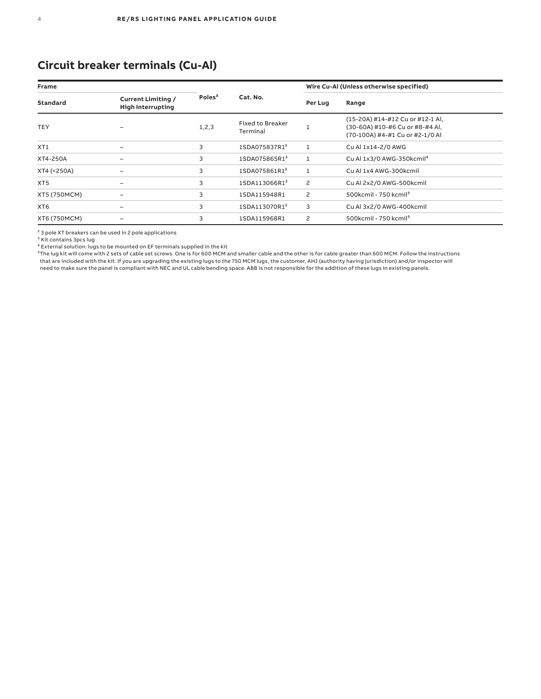## **Circuit breaker terminals (Cu-Al)**

| <b>Frame</b>    |                                                       |                    |                                     |                | Wire Cu-Al (Unless otherwise specified)                                                                |
|-----------------|-------------------------------------------------------|--------------------|-------------------------------------|----------------|--------------------------------------------------------------------------------------------------------|
| <b>Standard</b> | <b>Current Limiting /</b><br><b>High Interrupting</b> | Poles <sup>2</sup> | Cat. No.                            | Per Lug        | Range                                                                                                  |
| <b>TEY</b>      |                                                       | 1, 2, 3            | <b>Fixed to Breaker</b><br>Terminal |                | (15-20A) #14-#12 Cu or #12-1 Al,<br>(30-60A) #10-#6 Cu or #8-#4 Al,<br>(70-100A) #4-#1 Cu or #2-1/0 Al |
| XT <sub>1</sub> | -                                                     | 3                  | 1SDA075837R1 <sup>3</sup>           | 1              | Cu Al 1x14-2/0 AWG                                                                                     |
| XT4-250A        |                                                       | 3                  | 1SDA075865R13                       | $\mathbf{1}$   | Cu Al 1x3/0 AWG-350kcmil <sup>4</sup>                                                                  |
| XT4 (<250A)     |                                                       | 3                  | 1SDA075861R1 <sup>3</sup>           | 1              | Cu Al 1x4 AWG-300kcmil                                                                                 |
| XT <sub>5</sub> |                                                       | 3                  | 1SDA113066R13                       | $\overline{c}$ | Cu Al 2x2/0 AWG-500kcmil                                                                               |
| XT5 (750MCM)    |                                                       | 3                  | 1SDA115948R1                        | $\overline{c}$ | 500kcmil - 750 kcmil <sup>5</sup>                                                                      |
| XT <sub>6</sub> |                                                       | 3                  | 1SDA113070R13                       | 3              | Cu Al 3x2/0 AWG-400kcmil                                                                               |
| XT6 (750MCM)    |                                                       | 3                  | 1SDA115968R1                        | $\overline{c}$ | 500kcmil - 750 kcmil <sup>5</sup>                                                                      |

² 3 pole XT breakers can be used in 2 pole applications

<sup>3</sup> Kit contains 3pcs lug

<sup>4</sup> External solution: lugs to be mounted on EF terminals supplied in the kit<br><sup>5</sup>The lug kit will come with 2 sets of cable set screws. One is for 600 MCM and smaller cable and the other is for cable greater than 600 MCM. that are included with the kit. If you are upgrading the existing lugs to the 750 MCM lugs, the customer, AHJ (authority having jurisdiction) and/or inspector will need to make sure the panel is compliant with NEC and UL cable bending space. ABB is not responsible for the addition of these lugs in existing panels.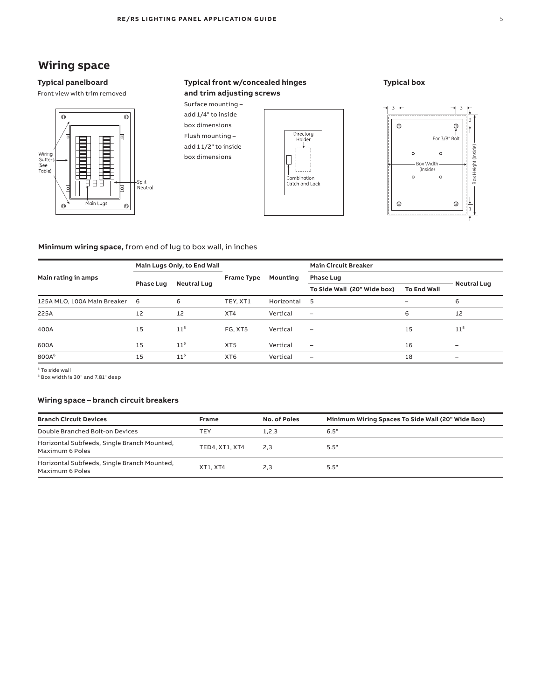## **Wiring space Wiring Space Wiring Space**

### Typical panelboard

Front view with trim removed Front view with trim removed



#### **Typical front w/concealed hinges Typical Front w/Concealed Hinges**  and trim adjusting screws **and Trim Adjusting Screws Typical Front w/Concealed Hinges and Trim Adjusting Screws Typical Front w/Concealed Hinges**  and **Trim Adjusting** Screen Screen Screen Screen Screen Screen Screen Screen Screen Screen Screen Screen Screen Screen Screen Screen Screen Screen Screen Screen Screen Screen Screen Screen Screen Screen Screen Screen Scree





### **Typical box Typical Box Typical Box**



#### **Minimum wiring space,** from end of lug to box wall, in inches **End Wall Frame Type Mounting Main rating in amps iring space,** from end of lug to box wall, in inches **b** box wall, in inches

|                               | Main Lugs Only, to End Wall |                    |                   |            | <b>Main Circuit Breaker</b> |                    |                          |
|-------------------------------|-----------------------------|--------------------|-------------------|------------|-----------------------------|--------------------|--------------------------|
| Main rating in amps           | <b>Phase Lug</b>            | <b>Neutral Lug</b> | <b>Frame Type</b> | Mounting   | <b>Phase Lug</b>            |                    | <b>Neutral Lug</b>       |
|                               |                             |                    |                   |            | To Side Wall (20" Wide box) | <b>To End Wall</b> |                          |
| 125A MLO, 100A Main Breaker 6 |                             | 6                  | TEY, XT1          | Horizontal | 5                           |                    | 6                        |
| 225A                          | 12                          | 12                 | XT4               | Vertical   | $\overline{\phantom{0}}$    | 6                  | 12                       |
| 400A                          | 15                          | $11^{5}$           | FG, XT5           | Vertical   | $\overline{\phantom{0}}$    | 15                 | $11^{5}$                 |
| 600A                          | 15                          | 11 <sup>5</sup>    | XT <sub>5</sub>   | Vertical   | -                           | 16                 | -                        |
| 800A <sup>6</sup>             | 15                          | $11^{5}$           | XT <sub>6</sub>   | Vertical   | -                           | 18                 | $\overline{\phantom{0}}$ |

⁵ To side wall

no side wan<br>" Box width is 30" and 7.81" deep  $\Theta$  Single Branch Mounted T $\Theta$ ranch Mounted T $\Theta$  $^{\text{H}}$  and 7.81" deen

#### **Wiring space – branch circuit breakers Enclosures Parallel Size Branch Chronic Broadcast Enclosures Enclosures**

| <b>Branch Circuit Devices</b>                                  | Frame                 | No. of Poles | Minimum Wiring Spaces To Side Wall (20" Wide Box) |
|----------------------------------------------------------------|-----------------------|--------------|---------------------------------------------------|
| Double Branched Bolt-on Devices                                | TEY                   | 1, 2, 3      | 6.5"                                              |
| Horizontal Subfeeds, Single Branch Mounted,<br>Maximum 6 Poles | <b>TED4, XT1, XT4</b> | 2,3          | 5.5"                                              |
| Horizontal Subfeeds, Single Branch Mounted,<br>Maximum 6 Poles | XT1. XT4              | 2.3          | 5.5"                                              |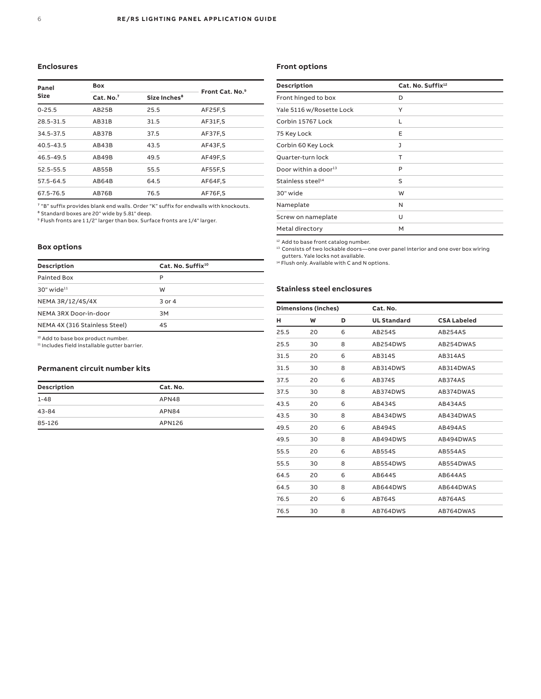#### **Enclosures**

| Panel         | Box                                               | Front Cat. No. <sup>9</sup> |         |
|---------------|---------------------------------------------------|-----------------------------|---------|
| <b>Size</b>   | Cat. No. <sup>7</sup><br>Size Inches <sup>8</sup> |                             |         |
| $0 - 25.5$    | AB25B                                             | 25.5                        | AF25F,S |
| 28.5-31.5     | AB31B                                             | 31.5                        | AF31F.S |
| 34.5-37.5     | AB37B                                             | 37.5                        | AF37F,S |
| $40.5 - 43.5$ | AB43B                                             | 43.5                        | AF43F,S |
| 46.5-49.5     | AB49B                                             | 49.5                        | AF49F.S |
| 52.5-55.5     | AB55B                                             | 55.5                        | AF55F.S |
| 57.5-64.5     | AB64B                                             | 64.5                        | AF64F.S |
| 67.5-76.5     | AB76B                                             | 76.5                        | AF76F.S |

<sup>7</sup> "B" suffix provides blank end walls. Order "K" suffix for endwalls with knockouts.<br><sup>8</sup> Standard boxes are 20" wide by 5.81" deep.<br><sup>9</sup> Flush fronts are 1 1/2" larger than box. Surface fronts are 1/4" larger.

#### **Box options**

| Description                                   | Cat. No. Suffix <sup>10</sup> |  |
|-----------------------------------------------|-------------------------------|--|
| Painted Box                                   | P                             |  |
| $30"$ wide <sup>11</sup>                      | W                             |  |
| NEMA 3R/12/4S/4X                              | $3$ or $4$                    |  |
| NEMA 3RX Door-in-door                         | 3M                            |  |
| NEMA 4X (316 Stainless Steel)                 | 4S                            |  |
| <sup>10</sup> Add to base box product number. |                               |  |

11 Includes field installable gutter barrier.

#### **Permanent circuit number kits**

| Description | Cat. No. |
|-------------|----------|
| $1 - 48$    | APN48    |
| 43-84       | APN84    |
| 85-126      | APN126   |

#### **Front options**

| <b>Description</b>               | Cat. No. Suffix <sup>12</sup> |
|----------------------------------|-------------------------------|
| Front hinged to box              | D                             |
| Yale 5116 w/Rosette Lock         | Υ                             |
| Corbin 15767 Lock                | L                             |
| 75 Key Lock                      | E                             |
| Corbin 60 Key Lock               | J                             |
| Quarter-turn lock                | Т                             |
| Door within a door <sup>13</sup> | P                             |
| Stainless steel <sup>14</sup>    | S                             |
| 30" wide                         | W                             |
| Nameplate                        | N                             |
| Screw on nameplate               | U                             |
| Metal directory                  | M                             |
|                                  |                               |

<sup>12</sup> Add to base front catalog number.

13 Consists of two lockable doors—one over panel interior and one over box wiring gutters. Yale locks not available.

<sup>14</sup> Flush only. Available with C and N options.

#### **Stainless steel enclosures**

| <b>Dimensions (inches)</b> |    | Cat. No. |                    |                    |  |
|----------------------------|----|----------|--------------------|--------------------|--|
| н                          | W  | D        | <b>UL Standard</b> | <b>CSA Labeled</b> |  |
| 25.5                       | 20 | 6        | AB254S             | AB254AS            |  |
| 25.5                       | 30 | 8        | AB254DWS           | AB254DWAS          |  |
| 31.5                       | 20 | 6        | AB314S             | <b>AB314AS</b>     |  |
| 31.5                       | 30 | 8        | AB314DWS           | AB314DWAS          |  |
| 37.5                       | 20 | 6        | AB374S             | AB374AS            |  |
| 37.5                       | 30 | 8        | AB374DWS           | AB374DWAS          |  |
| 43.5                       | 20 | 6        | AB434S             | AB434AS            |  |
| 43.5                       | 30 | 8        | AB434DWS           | AB434DWAS          |  |
| 49.5                       | 20 | 6        | AB494S             | <b>AB494AS</b>     |  |
| 49.5                       | 30 | 8        | AB494DWS           | AB494DWAS          |  |
| 55.5                       | 20 | 6        | AB554S             | <b>AB554AS</b>     |  |
| 55.5                       | 30 | 8        | AB554DWS           | AB554DWAS          |  |
| 64.5                       | 20 | 6        | AB644S             | <b>AB644AS</b>     |  |
| 64.5                       | 30 | 8        | AB644DWS           | AB644DWAS          |  |
| 76.5                       | 20 | 6        | AB764S             | <b>AB764AS</b>     |  |
| 76.5                       | 30 | 8        | AB764DWS           | AB764DWAS          |  |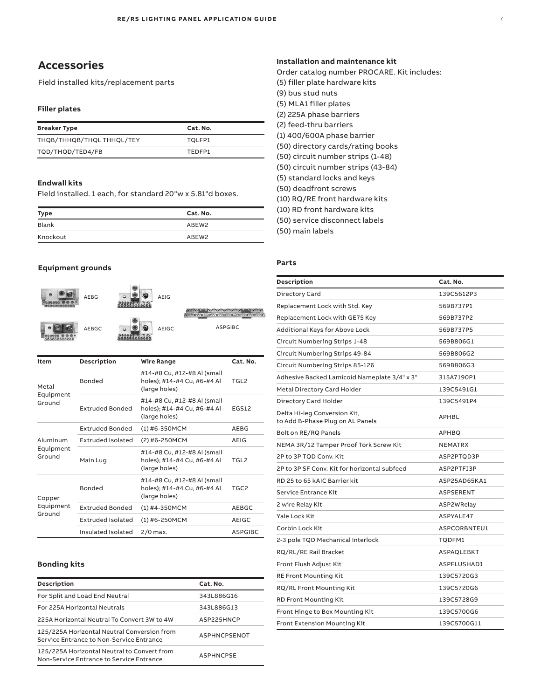### **Accessories**

Field installed kits/replacement parts

#### **Filler plates**

| <b>Breaker Type</b>       | Cat. No. |
|---------------------------|----------|
| THQB/THHQB/THQL THHQL/TEY | TOLFP1   |
| TQD/THQD/TED4/FB          | TFDFP1   |

#### **Endwall kits**

Field installed. 1 each, for standard 20"w x 5.81"d boxes.

| <b>Type</b> | Cat. No.          |
|-------------|-------------------|
| Blank       | ABEW2             |
| Knockout    | ABEW <sub>2</sub> |

#### **Equipment grounds**



| Item                            | Description              | Wire Range                                                                  | Cat. No.       |
|---------------------------------|--------------------------|-----------------------------------------------------------------------------|----------------|
| Metal<br>Equipment<br>Ground    | <b>Bonded</b>            | #14-#8 Cu, #12-#8 Al (small<br>holes); #14-#4 Cu, #6-#4 Al<br>(large holes) | TGL2           |
|                                 | <b>Extruded Bonded</b>   | #14-#8 Cu, #12-#8 Al (small<br>holes); #14-#4 Cu, #6-#4 Al<br>(large holes) | EGS12          |
| Aluminum<br>Equipment<br>Ground | <b>Extruded Bonded</b>   | (1) #6-350MCM                                                               | AEBG           |
|                                 | Extruded Isolated        | (2) #6-250MCM                                                               | AEIG           |
|                                 | Main Lug                 | #14-#8 Cu, #12-#8 Al (small<br>holes); #14-#4 Cu, #6-#4 Al<br>(large holes) | TGL2           |
| Copper<br>Equipment<br>Ground   | <b>Bonded</b>            | #14-#8 Cu, #12-#8 Al (small<br>holes); #14-#4 Cu, #6-#4 Al<br>(large holes) | TGC2           |
|                                 | <b>Extruded Bonded</b>   | $(1)$ #4-350MCM                                                             | AEBGC          |
|                                 | <b>Extruded Isolated</b> | $(1)$ #6-250MCM                                                             | <b>AEIGC</b>   |
|                                 | Insulated Isolated       | 2/0 max.                                                                    | <b>ASPGIBC</b> |

#### **Bonding kits**

| Description                                                                             | Cat. No.            |
|-----------------------------------------------------------------------------------------|---------------------|
| For Split and Load End Neutral                                                          | 343L886G16          |
| For 225A Horizontal Neutrals                                                            | 343L886G13          |
| 225A Horizontal Neutral To Convert 3W to 4W                                             | ASP225HNCP          |
| 125/225A Horizontal Neutral Conversion from<br>Service Entrance to Non-Service Entrance | <b>ASPHNCPSENOT</b> |
| 125/225A Horizontal Neutral to Convert from<br>Non-Service Entrance to Service Entrance | <b>ASPHNCPSE</b>    |

### Order catalog number PROCARE. Kit includes: (5) filler plate hardware kits (9) bus stud nuts (5) MLA1 filler plates (2) 225A phase barriers (2) feed-thru barriers (1) 400/600A phase barrier (50) directory cards/rating books (50) circuit number strips (1-48) (50) circuit number strips (43-84) (5) standard locks and keys (50) deadfront screws (10) RQ/RE front hardware kits (10) RD front hardware kits (50) service disconnect labels (50) main labels

#### **Parts**

| Description                                                      | Cat. No.           |
|------------------------------------------------------------------|--------------------|
| Directory Card                                                   | 139C5612P3         |
| Replacement Lock with Std. Key                                   | 569B737P1          |
| Replacement Lock with GE75 Key                                   | 569B737P2          |
| Additional Keys for Above Lock                                   | 569B737P5          |
| Circuit Numbering Strips 1-48                                    | 569B806G1          |
| Circuit Numbering Strips 49-84                                   | 569B806G2          |
| Circuit Numbering Strips 85-126                                  | 569B806G3          |
| Adhesive Backed Lamicoid Nameplate 3/4" x 3"                     | 315A7190P1         |
| Metal Directory Card Holder                                      | 139C5491G1         |
| Directory Card Holder                                            | 139C5491P4         |
| Delta Hi-leg Conversion Kit,<br>to Add B-Phase Plug on AL Panels | <b>APHBL</b>       |
| Bolt on RE/RQ Panels                                             | <b>APHBO</b>       |
| NEMA 3R/12 Tamper Proof Tork Screw Kit                           | <b>NEMATRX</b>     |
| 2P to 3P TOD Conv. Kit                                           | ASP2PTQD3P         |
| 2P to 3P SF Conv. Kit for horizontal subfeed                     | ASP2PTFJ3P         |
| RD 25 to 65 kAIC Barrier kit                                     | ASP25AD65KA1       |
| Service Entrance Kit                                             | <b>ASPSERENT</b>   |
| 2 wire Relay Kit                                                 | ASP2WRelay         |
| Yale Lock Kit                                                    | ASPYALE47          |
| Corbin Lock Kit                                                  | ASPCORBNTEU1       |
| 2-3 pole TQD Mechanical Interlock                                | TQDFM1             |
| RQ/RL/RE Rail Bracket                                            | ASPAQLEBKT         |
| Front Flush Adjust Kit                                           | <b>ASPFLUSHADJ</b> |
| <b>RE Front Mounting Kit</b>                                     | 139C5720G3         |
| RQ/RL Front Mounting Kit                                         | 139C5720G6         |
| <b>RD Front Mounting Kit</b>                                     | 139C5728G9         |
| Front Hinge to Box Mounting Kit                                  | 139C5700G6         |
| <b>Front Extension Mounting Kit</b>                              | 139C5700G11        |

#### **Installation and maintenance kit**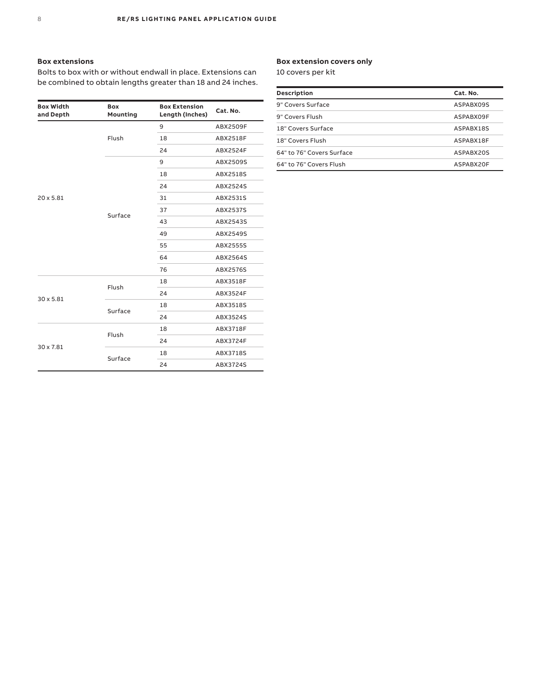#### **Box extensions**

Bolts to box with or without endwall in place. Extensions can be combined to obtain lengths greater than 18 and 24 inches.

| <b>Box Width</b><br>and Depth | <b>Box</b><br>Mounting | <b>Box Extension</b><br>Length (Inches) | Cat. No. |
|-------------------------------|------------------------|-----------------------------------------|----------|
|                               |                        | 9                                       | ABX2509F |
|                               | Flush                  | 18                                      | ABX2518F |
|                               |                        | 24                                      | ABX2524F |
|                               |                        | 9                                       | ABX2509S |
|                               |                        | 18                                      | ABX2518S |
|                               |                        | 24                                      | ABX2524S |
| $20 \times 5.81$              |                        | 31                                      | ABX2531S |
|                               | Surface                | 37                                      | ABX2537S |
|                               |                        | 43                                      | ABX2543S |
|                               |                        | 49                                      | ABX2549S |
|                               |                        | 55                                      | ABX2555S |
|                               |                        | 64                                      | ABX2564S |
|                               |                        | 76                                      | ABX2576S |
|                               |                        | 18                                      | ABX3518F |
|                               | Flush                  | 24                                      | ABX3524F |
| $30 \times 5.81$              |                        | 18                                      | ABX3518S |
|                               | Surface                | 24                                      | ABX3524S |
|                               |                        | 18                                      | ABX3718F |
|                               | Flush                  | 24                                      | ABX3724F |
| 30 x 7.81                     |                        | 18                                      | ABX3718S |
|                               | Surface                | 24                                      | ABX3724S |

#### **Box extension covers only**

10 covers per kit

| Description               | Cat. No.  |
|---------------------------|-----------|
| 9" Covers Surface         | ASPABX09S |
| 9" Covers Flush           | ASPABX09F |
| 18" Covers Surface        | ASPABX18S |
| 18" Covers Flush          | ASPABX18F |
| 64" to 76" Covers Surface | ASPABX20S |
| 64" to 76" Covers Flush   | ASPABX20F |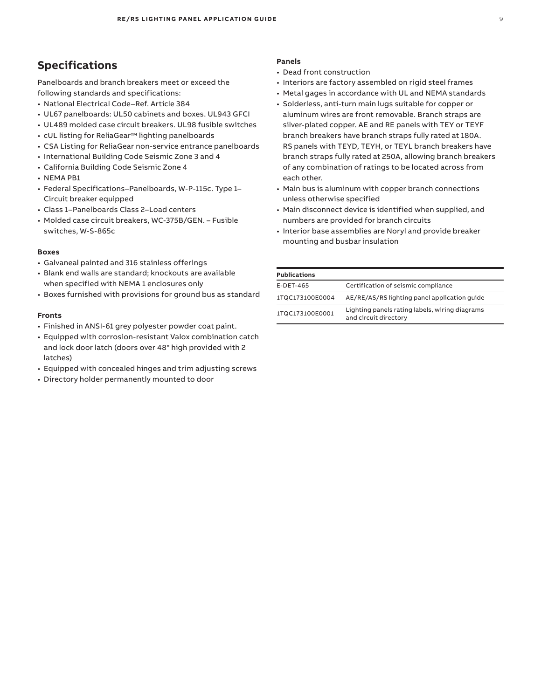### **Specifications**

Panelboards and branch breakers meet or exceed the following standards and specifications:

- National Electrical Code–Ref. Article 384
- UL67 panelboards: UL50 cabinets and boxes. UL943 GFCI
- UL489 molded case circuit breakers. UL98 fusible switches
- cUL listing for ReliaGear™ lighting panelboards
- CSA Listing for ReliaGear non-service entrance panelboards
- International Building Code Seismic Zone 3 and 4
- California Building Code Seismic Zone 4
- NEMA PB1
- Federal Specifications–Panelboards, W-P-115c. Type 1– Circuit breaker equipped
- Class 1–Panelboards Class 2–Load centers
- Molded case circuit breakers, WC-375B/GEN. Fusible switches, W-S-865c

#### **Boxes**

- Galvaneal painted and 316 stainless offerings
- Blank end walls are standard; knockouts are available when specified with NEMA 1 enclosures only
- Boxes furnished with provisions for ground bus as standard

#### **Fronts**

- Finished in ANSI-61 grey polyester powder coat paint.
- Equipped with corrosion-resistant Valox combination catch and lock door latch (doors over 48" high provided with 2 latches)
- Equipped with concealed hinges and trim adjusting screws
- Directory holder permanently mounted to door

#### **Panels**

- Dead front construction
- Interiors are factory assembled on rigid steel frames
- Metal gages in accordance with UL and NEMA standards
- Solderless, anti-turn main lugs suitable for copper or aluminum wires are front removable. Branch straps are silver-plated copper. AE and RE panels with TEY or TEYF branch breakers have branch straps fully rated at 180A. RS panels with TEYD, TEYH, or TEYL branch breakers have branch straps fully rated at 250A, allowing branch breakers of any combination of ratings to be located across from each other.
- Main bus is aluminum with copper branch connections unless otherwise specified
- Main disconnect device is identified when supplied, and numbers are provided for branch circuits
- Interior base assemblies are Noryl and provide breaker mounting and busbar insulation

| <b>Publications</b> |                                                                         |
|---------------------|-------------------------------------------------------------------------|
| E-DET-465           | Certification of seismic compliance                                     |
| 1TQC173100E0004     | AE/RE/AS/RS lighting panel application quide                            |
| 1TOC173100E0001     | Lighting panels rating labels, wiring diagrams<br>and circuit directory |